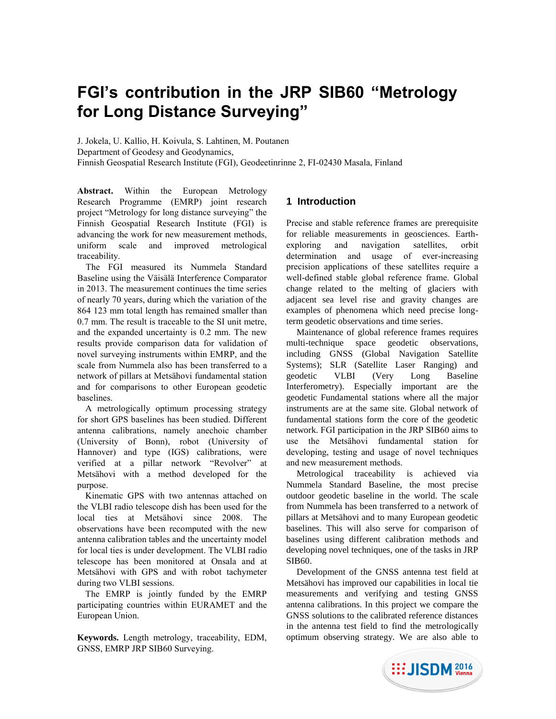# **FGI's contribution in the JRP SIB60 "Metrology for Long Distance Surveying"**

J. Jokela, U. Kallio, H. Koivula, S. Lahtinen, M. Poutanen Department of Geodesy and Geodynamics, Finnish Geospatial Research Institute (FGI), Geodeetinrinne 2, FI-02430 Masala, Finland

**Abstract.** Within the European Metrology Research Programme (EMRP) joint research project "Metrology for long distance surveying" the Finnish Geospatial Research Institute (FGI) is advancing the work for new measurement methods, uniform scale and improved metrological traceability.

The FGI measured its Nummela Standard Baseline using the Väisälä Interference Comparator in 2013. The measurement continues the time series of nearly 70 years, during which the variation of the 864 123 mm total length has remained smaller than 0.7 mm. The result is traceable to the SI unit metre, and the expanded uncertainty is 0.2 mm. The new results provide comparison data for validation of novel surveying instruments within EMRP, and the scale from Nummela also has been transferred to a network of pillars at Metsähovi fundamental station and for comparisons to other European geodetic baselines.

A metrologically optimum processing strategy for short GPS baselines has been studied. Different antenna calibrations, namely anechoic chamber (University of Bonn), robot (University of Hannover) and type (IGS) calibrations, were verified at a pillar network "Revolver" at Metsähovi with a method developed for the purpose.

Kinematic GPS with two antennas attached on the VLBI radio telescope dish has been used for the local ties at Metsähovi since 2008. The observations have been recomputed with the new antenna calibration tables and the uncertainty model for local ties is under development. The VLBI radio telescope has been monitored at Onsala and at Metsähovi with GPS and with robot tachymeter during two VLBI sessions.

The EMRP is jointly funded by the EMRP participating countries within EURAMET and the European Union.

**Keywords.** Length metrology, traceability, EDM, GNSS, EMRP JRP SIB60 Surveying.

# **1 Introduction**

Precise and stable reference frames are prerequisite for reliable measurements in geosciences. Earthexploring and navigation satellites, orbit determination and usage of ever-increasing precision applications of these satellites require a well-defined stable global reference frame. Global change related to the melting of glaciers with adjacent sea level rise and gravity changes are examples of phenomena which need precise longterm geodetic observations and time series.

Maintenance of global reference frames requires multi-technique space geodetic observations, including GNSS (Global Navigation Satellite Systems); SLR (Satellite Laser Ranging) and geodetic VLBI (Very Long Baseline Interferometry). Especially important are the geodetic Fundamental stations where all the major instruments are at the same site. Global network of fundamental stations form the core of the geodetic network. FGI participation in the JRP SIB60 aims to use the Metsähovi fundamental station for developing, testing and usage of novel techniques and new measurement methods.

Metrological traceability is achieved via Nummela Standard Baseline, the most precise outdoor geodetic baseline in the world. The scale from Nummela has been transferred to a network of pillars at Metsähovi and to many European geodetic baselines. This will also serve for comparison of baselines using different calibration methods and developing novel techniques, one of the tasks in JRP SIB60.

Development of the GNSS antenna test field at Metsähovi has improved our capabilities in local tie measurements and verifying and testing GNSS antenna calibrations. In this project we compare the GNSS solutions to the calibrated reference distances in the antenna test field to find the metrologically optimum observing strategy. We are also able to

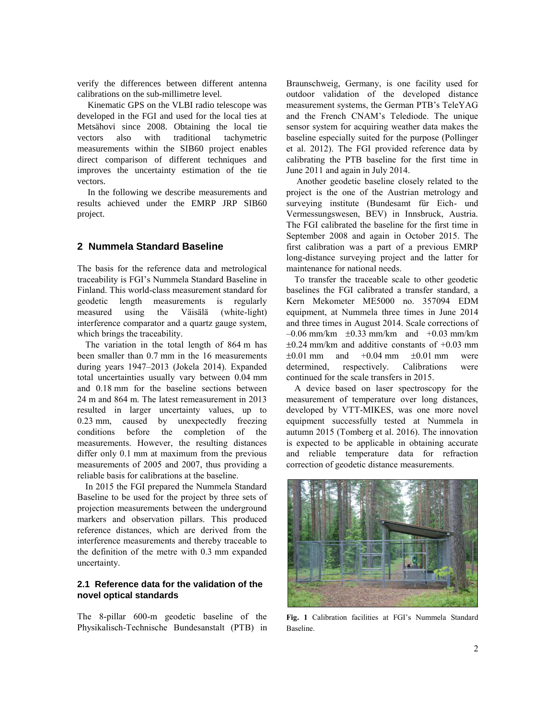verify the differences between different antenna calibrations on the sub-millimetre level.

Kinematic GPS on the VLBI radio telescope was developed in the FGI and used for the local ties at Metsähovi since 2008. Obtaining the local tie vectors also with traditional tachymetric measurements within the SIB60 project enables direct comparison of different techniques and improves the uncertainty estimation of the tie vectors.

In the following we describe measurements and results achieved under the EMRP JRP SIB60 project.

## **2 Nummela Standard Baseline**

The basis for the reference data and metrological traceability is FGI's Nummela Standard Baseline in Finland. This world-class measurement standard for geodetic length measurements is regularly measured using the Väisälä (white-light) interference comparator and a quartz gauge system, which brings the traceability.

The variation in the total length of 864 m has been smaller than 0.7 mm in the 16 measurements during years 1947–2013 (Jokela 2014). Expanded total uncertainties usually vary between 0.04 mm and 0.18 mm for the baseline sections between 24 m and 864 m. The latest remeasurement in 2013 resulted in larger uncertainty values, up to 0.23 mm, caused by unexpectedly freezing conditions before the completion of the measurements. However, the resulting distances differ only 0.1 mm at maximum from the previous measurements of 2005 and 2007, thus providing a reliable basis for calibrations at the baseline.

In 2015 the FGI prepared the Nummela Standard Baseline to be used for the project by three sets of projection measurements between the underground markers and observation pillars. This produced reference distances, which are derived from the interference measurements and thereby traceable to the definition of the metre with 0.3 mm expanded uncertainty.

## **2.1 Reference data for the validation of the novel optical standards**

The 8-pillar 600-m geodetic baseline of the Physikalisch-Technische Bundesanstalt (PTB) in

Braunschweig, Germany, is one facility used for outdoor validation of the developed distance measurement systems, the German PTB's TeleYAG and the French CNAM's Telediode. The unique sensor system for acquiring weather data makes the baseline especially suited for the purpose (Pollinger et al. 2012). The FGI provided reference data by calibrating the PTB baseline for the first time in June 2011 and again in July 2014.

Another geodetic baseline closely related to the project is the one of the Austrian metrology and surveying institute (Bundesamt für Eich- und Vermessungswesen, BEV) in Innsbruck, Austria. The FGI calibrated the baseline for the first time in September 2008 and again in October 2015. The first calibration was a part of a previous EMRP long-distance surveying project and the latter for maintenance for national needs.

To transfer the traceable scale to other geodetic baselines the FGI calibrated a transfer standard, a Kern Mekometer ME5000 no. 357094 EDM equipment, at Nummela three times in June 2014 and three times in August 2014. Scale corrections of  $-0.06$  mm/km  $\pm 0.33$  mm/km and  $+0.03$  mm/km  $\pm 0.24$  mm/km and additive constants of  $\pm 0.03$  mm  $\pm 0.01$  mm and  $+0.04$  mm  $\pm 0.01$  mm were determined, respectively. Calibrations were continued for the scale transfers in 2015.

A device based on laser spectroscopy for the measurement of temperature over long distances, developed by VTT-MIKES, was one more novel equipment successfully tested at Nummela in autumn 2015 (Tomberg et al. 2016). The innovation is expected to be applicable in obtaining accurate and reliable temperature data for refraction correction of geodetic distance measurements.



**Fig. 1** Calibration facilities at FGI's Nummela Standard Baseline.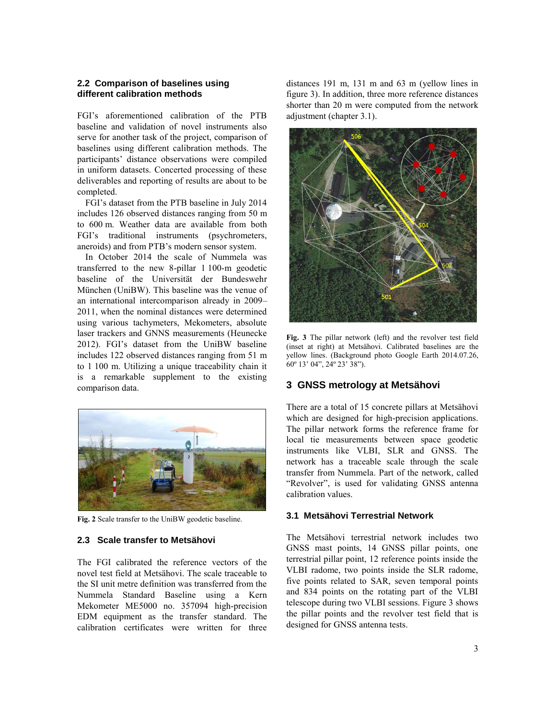#### **2.2 Comparison of baselines using different calibration methods**

FGI's aforementioned calibration of the PTB baseline and validation of novel instruments also serve for another task of the project, comparison of baselines using different calibration methods. The participants' distance observations were compiled in uniform datasets. Concerted processing of these deliverables and reporting of results are about to be completed.

FGI's dataset from the PTB baseline in July 2014 includes 126 observed distances ranging from 50 m to 600 m. Weather data are available from both FGI's traditional instruments (psychrometers, aneroids) and from PTB's modern sensor system.

In October 2014 the scale of Nummela was transferred to the new 8-pillar 1 100-m geodetic baseline of the Universität der Bundeswehr München (UniBW). This baseline was the venue of an international intercomparison already in 2009– 2011, when the nominal distances were determined using various tachymeters, Mekometers, absolute laser trackers and GNNS measurements (Heunecke 2012). FGI's dataset from the UniBW baseline includes 122 observed distances ranging from 51 m to 1 100 m. Utilizing a unique traceability chain it is a remarkable supplement to the existing comparison data.



**Fig. 2** Scale transfer to the UniBW geodetic baseline.

#### **2.3 Scale transfer to Metsähovi**

The FGI calibrated the reference vectors of the novel test field at Metsähovi. The scale traceable to the SI unit metre definition was transferred from the Nummela Standard Baseline using a Kern Mekometer ME5000 no. 357094 high-precision EDM equipment as the transfer standard. The calibration certificates were written for three

distances 191 m, 131 m and 63 m (yellow lines in figure 3). In addition, three more reference distances shorter than 20 m were computed from the network adjustment (chapter 3.1).



**Fig. 3** The pillar network (left) and the revolver test field (inset at right) at Metsähovi. Calibrated baselines are the yellow lines. (Background photo Google Earth 2014.07.26, 60º 13' 04", 24º 23' 38").

## **3 GNSS metrology at Metsähovi**

There are a total of 15 concrete pillars at Metsähovi which are designed for high-precision applications. The pillar network forms the reference frame for local tie measurements between space geodetic instruments like VLBI, SLR and GNSS. The network has a traceable scale through the scale transfer from Nummela. Part of the network, called "Revolver", is used for validating GNSS antenna calibration values.

#### **3.1 Metsähovi Terrestrial Network**

The Metsähovi terrestrial network includes two GNSS mast points, 14 GNSS pillar points, one terrestrial pillar point, 12 reference points inside the VLBI radome, two points inside the SLR radome, five points related to SAR, seven temporal points and 834 points on the rotating part of the VLBI telescope during two VLBI sessions. Figure 3 shows the pillar points and the revolver test field that is designed for GNSS antenna tests.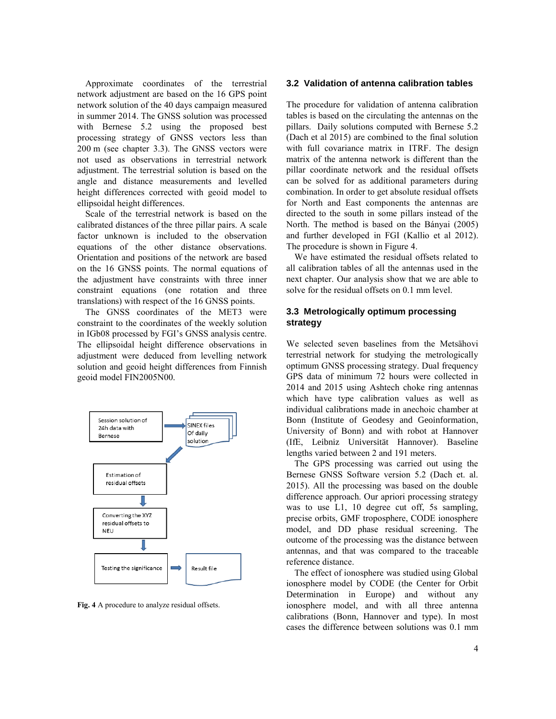Approximate coordinates of the terrestrial network adjustment are based on the 16 GPS point network solution of the 40 days campaign measured in summer 2014. The GNSS solution was processed with Bernese 5.2 using the proposed best processing strategy of GNSS vectors less than 200 m (see chapter 3.3). The GNSS vectors were not used as observations in terrestrial network adjustment. The terrestrial solution is based on the angle and distance measurements and levelled height differences corrected with geoid model to ellipsoidal height differences.

Scale of the terrestrial network is based on the calibrated distances of the three pillar pairs. A scale factor unknown is included to the observation equations of the other distance observations. Orientation and positions of the network are based on the 16 GNSS points. The normal equations of the adjustment have constraints with three inner constraint equations (one rotation and three translations) with respect of the 16 GNSS points.

The GNSS coordinates of the MET3 were constraint to the coordinates of the weekly solution in IGb08 processed by FGI's GNSS analysis centre. The ellipsoidal height difference observations in adjustment were deduced from levelling network solution and geoid height differences from Finnish geoid model FIN2005N00.



**Fig. 4** A procedure to analyze residual offsets.

#### **3.2 Validation of antenna calibration tables**

The procedure for validation of antenna calibration tables is based on the circulating the antennas on the pillars. Daily solutions computed with Bernese 5.2 (Dach et al 2015) are combined to the final solution with full covariance matrix in ITRF. The design matrix of the antenna network is different than the pillar coordinate network and the residual offsets can be solved for as additional parameters during combination. In order to get absolute residual offsets for North and East components the antennas are directed to the south in some pillars instead of the North. The method is based on the Bányai (2005) and further developed in FGI (Kallio et al 2012). The procedure is shown in Figure 4.

We have estimated the residual offsets related to all calibration tables of all the antennas used in the next chapter. Our analysis show that we are able to solve for the residual offsets on 0.1 mm level.

## **3.3 Metrologically optimum processing strategy**

We selected seven baselines from the Metsähovi terrestrial network for studying the metrologically optimum GNSS processing strategy. Dual frequency GPS data of minimum 72 hours were collected in 2014 and 2015 using Ashtech choke ring antennas which have type calibration values as well as individual calibrations made in anechoic chamber at Bonn (Institute of Geodesy and Geoinformation, University of Bonn) and with robot at Hannover (IfE, Leibniz Universität Hannover). Baseline lengths varied between 2 and 191 meters.

The GPS processing was carried out using the Bernese GNSS Software version 5.2 (Dach et. al. 2015). All the processing was based on the double difference approach. Our apriori processing strategy was to use L1, 10 degree cut off, 5s sampling, precise orbits, GMF troposphere, CODE ionosphere model, and DD phase residual screening. The outcome of the processing was the distance between antennas, and that was compared to the traceable reference distance.

The effect of ionosphere was studied using Global ionosphere model by CODE (the Center for Orbit Determination in Europe) and without any ionosphere model, and with all three antenna calibrations (Bonn, Hannover and type). In most cases the difference between solutions was 0.1 mm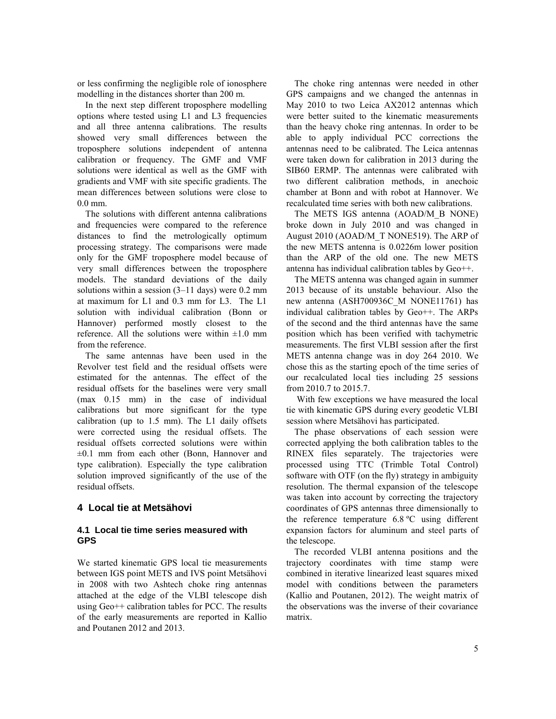or less confirming the negligible role of ionosphere modelling in the distances shorter than 200 m.

In the next step different troposphere modelling options where tested using L1 and L3 frequencies and all three antenna calibrations. The results showed very small differences between the troposphere solutions independent of antenna calibration or frequency. The GMF and VMF solutions were identical as well as the GMF with gradients and VMF with site specific gradients. The mean differences between solutions were close to 0.0 mm.

The solutions with different antenna calibrations and frequencies were compared to the reference distances to find the metrologically optimum processing strategy. The comparisons were made only for the GMF troposphere model because of very small differences between the troposphere models. The standard deviations of the daily solutions within a session (3–11 days) were 0.2 mm at maximum for L1 and 0.3 mm for L3. The L1 solution with individual calibration (Bonn or Hannover) performed mostly closest to the reference. All the solutions were within  $\pm 1.0$  mm from the reference.

The same antennas have been used in the Revolver test field and the residual offsets were estimated for the antennas. The effect of the residual offsets for the baselines were very small (max 0.15 mm) in the case of individual calibrations but more significant for the type calibration (up to 1.5 mm). The L1 daily offsets were corrected using the residual offsets. The residual offsets corrected solutions were within ±0.1 mm from each other (Bonn, Hannover and type calibration). Especially the type calibration solution improved significantly of the use of the residual offsets.

## **4 Local tie at Metsähovi**

#### **4.1 Local tie time series measured with GPS**

We started kinematic GPS local tie measurements between IGS point METS and IVS point Metsähovi in 2008 with two Ashtech choke ring antennas attached at the edge of the VLBI telescope dish using Geo++ calibration tables for PCC. The results of the early measurements are reported in Kallio and Poutanen 2012 and 2013.

The choke ring antennas were needed in other GPS campaigns and we changed the antennas in May 2010 to two Leica AX2012 antennas which were better suited to the kinematic measurements than the heavy choke ring antennas. In order to be able to apply individual PCC corrections the antennas need to be calibrated. The Leica antennas were taken down for calibration in 2013 during the SIB60 ERMP. The antennas were calibrated with two different calibration methods, in anechoic chamber at Bonn and with robot at Hannover. We recalculated time series with both new calibrations.

The METS IGS antenna (AOAD/M\_B NONE) broke down in July 2010 and was changed in August 2010 (AOAD/M\_T NONE519). The ARP of the new METS antenna is 0.0226m lower position than the ARP of the old one. The new METS antenna has individual calibration tables by Geo++.

The METS antenna was changed again in summer 2013 because of its unstable behaviour. Also the new antenna (ASH700936C\_M NONE11761) has individual calibration tables by Geo++. The ARPs of the second and the third antennas have the same position which has been verified with tachymetric measurements. The first VLBI session after the first METS antenna change was in doy 264 2010. We chose this as the starting epoch of the time series of our recalculated local ties including 25 sessions from 2010.7 to 2015.7.

With few exceptions we have measured the local tie with kinematic GPS during every geodetic VLBI session where Metsähovi has participated.

The phase observations of each session were corrected applying the both calibration tables to the RINEX files separately. The trajectories were processed using TTC (Trimble Total Control) software with OTF (on the fly) strategy in ambiguity resolution. The thermal expansion of the telescope was taken into account by correcting the trajectory coordinates of GPS antennas three dimensionally to the reference temperature 6.8 ºC using different expansion factors for aluminum and steel parts of the telescope.

The recorded VLBI antenna positions and the trajectory coordinates with time stamp were combined in iterative linearized least squares mixed model with conditions between the parameters (Kallio and Poutanen, 2012). The weight matrix of the observations was the inverse of their covariance matrix.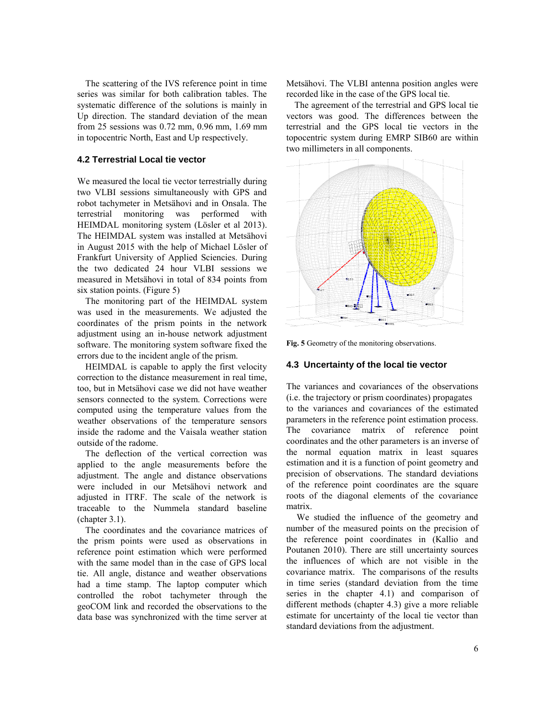The scattering of the IVS reference point in time series was similar for both calibration tables. The systematic difference of the solutions is mainly in Up direction. The standard deviation of the mean from 25 sessions was 0.72 mm, 0.96 mm, 1.69 mm in topocentric North, East and Up respectively.

#### **4.2 Terrestrial Local tie vector**

We measured the local tie vector terrestrially during two VLBI sessions simultaneously with GPS and robot tachymeter in Metsähovi and in Onsala. The terrestrial monitoring was performed with HEIMDAL monitoring system (Lösler et al 2013). The HEIMDAL system was installed at Metsähovi in August 2015 with the help of Michael Lösler of Frankfurt University of Applied Sciencies. During the two dedicated 24 hour VLBI sessions we measured in Metsähovi in total of 834 points from six station points. (Figure 5)

The monitoring part of the HEIMDAL system was used in the measurements. We adjusted the coordinates of the prism points in the network adjustment using an in-house network adjustment software. The monitoring system software fixed the errors due to the incident angle of the prism.

HEIMDAL is capable to apply the first velocity correction to the distance measurement in real time, too, but in Metsähovi case we did not have weather sensors connected to the system. Corrections were computed using the temperature values from the weather observations of the temperature sensors inside the radome and the Vaisala weather station outside of the radome.

The deflection of the vertical correction was applied to the angle measurements before the adjustment. The angle and distance observations were included in our Metsähovi network and adjusted in ITRF. The scale of the network is traceable to the Nummela standard baseline (chapter 3.1).

The coordinates and the covariance matrices of the prism points were used as observations in reference point estimation which were performed with the same model than in the case of GPS local tie. All angle, distance and weather observations had a time stamp. The laptop computer which controlled the robot tachymeter through the geoCOM link and recorded the observations to the data base was synchronized with the time server at

Metsähovi. The VLBI antenna position angles were recorded like in the case of the GPS local tie.

The agreement of the terrestrial and GPS local tie vectors was good. The differences between the terrestrial and the GPS local tie vectors in the topocentric system during EMRP SIB60 are within two millimeters in all components.



**Fig. 5** Geometry of the monitoring observations.

#### **4.3 Uncertainty of the local tie vector**

The variances and covariances of the observations (i.e. the trajectory or prism coordinates) propagates to the variances and covariances of the estimated parameters in the reference point estimation process. The covariance matrix of reference point coordinates and the other parameters is an inverse of the normal equation matrix in least squares estimation and it is a function of point geometry and precision of observations. The standard deviations of the reference point coordinates are the square roots of the diagonal elements of the covariance matrix.

We studied the influence of the geometry and number of the measured points on the precision of the reference point coordinates in (Kallio and Poutanen 2010). There are still uncertainty sources the influences of which are not visible in the covariance matrix. The comparisons of the results in time series (standard deviation from the time series in the chapter 4.1) and comparison of different methods (chapter 4.3) give a more reliable estimate for uncertainty of the local tie vector than standard deviations from the adjustment.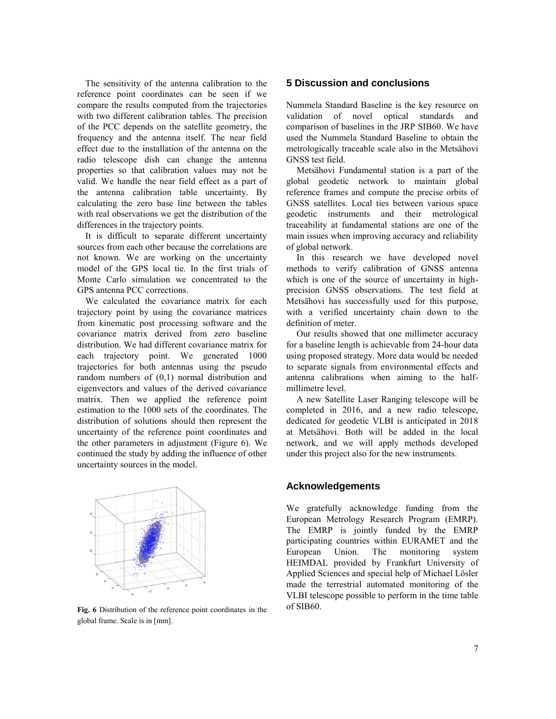The sensitivity of the antenna calibration to the reference point coordinates can be seen if we compare the results computed from the trajectories with two different calibration tables. The precision of the PCC depends on the satellite geometry, the frequency and the antenna itself. The near field effect due to the installation of the antenna on the radio telescope dish can change the antenna properties so that calibration values may not be valid. We handle the near field effect as a part of the antenna calibration table uncertainty. By calculating the zero base line between the tables with real observations we get the distribution of the differences in the trajectory points.

It is difficult to separate different uncertainty sources from each other because the correlations are not known. We are working on the uncertainty model of the GPS local tie. In the first trials of Monte Carlo simulation we concentrated to the GPS antenna PCC corrections.

We calculated the covariance matrix for each trajectory point by using the covariance matrices from kinematic post processing software and the covariance matrix derived from zero baseline distribution. We had different covariance matrix for each trajectory point. We generated 1000 trajectories for both antennas using the pseudo random numbers of (0,1) normal distribution and eigenvectors and values of the derived covariance matrix. Then we applied the reference point estimation to the 1000 sets of the coordinates. The distribution of solutions should then represent the uncertainty of the reference point coordinates and the other parameters in adjustment (Figure 6). We continued the study by adding the influence of other uncertainty sources in the model.



**Fig. 6** Distribution of the reference point coordinates in the global frame. Scale is in [mm].

## **5 Discussion and conclusions**

Nummela Standard Baseline is the key resource on validation of novel optical standards and comparison of baselines in the JRP SIB60. We have used the Nummela Standard Baseline to obtain the metrologically traceable scale also in the Metsähovi GNSS test field.

Metsähovi Fundamental station is a part of the global geodetic network to maintain global reference frames and compute the precise orbits of GNSS satellites. Local ties between various space geodetic instruments and their metrological traceability at fundamental stations are one of the main issues when improving accuracy and reliability of global network.

In this research we have developed novel methods to verify calibration of GNSS antenna which is one of the source of uncertainty in highprecision GNSS observations. The test field at Metsähovi has successfully used for this purpose, with a verified uncertainty chain down to the definition of meter.

Our results showed that one millimeter accuracy for a baseline length is achievable from 24-hour data using proposed strategy. More data would be needed to separate signals from environmental effects and antenna calibrations when aiming to the halfmillimetre level.

A new Satellite Laser Ranging telescope will be completed in 2016, and a new radio telescope, dedicated for geodetic VLBI is anticipated in 2018 at Metsähovi. Both will be added in the local network, and we will apply methods developed under this project also for the new instruments.

## **Acknowledgements**

We gratefully acknowledge funding from the European Metrology Research Program (EMRP). The EMRP is jointly funded by the EMRP participating countries within EURAMET and the European Union. The monitoring system HEIMDAL provided by Frankfurt University of Applied Sciences and special help of Michael Lösler made the terrestrial automated monitoring of the VLBI telescope possible to perform in the time table of SIB60.